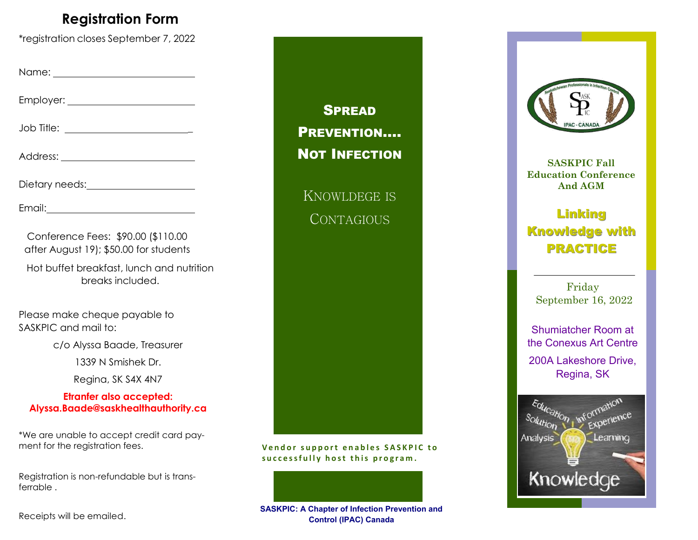### **Registration Form**

\*registration closes September 7, 2022

Name:

Employer:

Job Title: \_

Address:

Dietary needs: Notified and the set of the set of the set of the set of the set of the set of the set of the set of the set of the set of the set of the set of the set of the set of the set of the set of the set of the set

Email:

Conference Fees: \$90.00 (\$110.00 after August 19); \$50.00 for students

Hot buffet breakfast, lunch and nutrition breaks included.

Please make cheque payable to SASKPIC and mail to:

c/o Alyssa Baade, Treasurer

1339 N Smishek Dr.

Regina, SK S4X 4N7

#### **Etranfer also accepted: Alyssa.Baade@saskhealthauthority.ca**

\*We are unable to accept credit card payment for the registration fees.

Registration is non-refundable but is transferrable .

Receipts will be emailed.



Vendor support enables SASKPIC to successfully host this program.





**SASKPIC Fall Education Conference And AGM** 

### **Linking Knowledge with PRACTICE**

Friday September 16, 2022

Shumiatcher Room at the Conexus Art Centre 200A Lakeshore Drive, Regina, SK